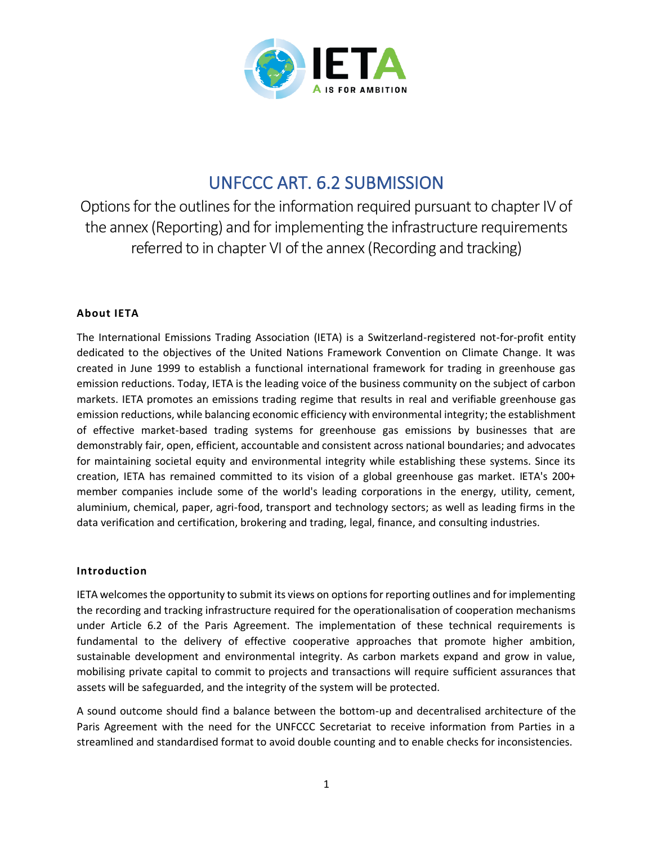

# UNFCCC ART. 6.2 SUBMISSION

Options for the outlines for the information required pursuant to chapter IV of the annex (Reporting) and for implementing the infrastructure requirements referred to in chapter VI of the annex (Recording and tracking)

## **About IETA**

The International Emissions Trading Association (IETA) is a Switzerland-registered not-for-profit entity dedicated to the objectives of the United Nations Framework Convention on Climate Change. It was created in June 1999 to establish a functional international framework for trading in greenhouse gas emission reductions. Today, IETA is the leading voice of the business community on the subject of carbon markets. IETA promotes an emissions trading regime that results in real and verifiable greenhouse gas emission reductions, while balancing economic efficiency with environmental integrity; the establishment of effective market-based trading systems for greenhouse gas emissions by businesses that are demonstrably fair, open, efficient, accountable and consistent across national boundaries; and advocates for maintaining societal equity and environmental integrity while establishing these systems. Since its creation, IETA has remained committed to its vision of a global greenhouse gas market. IETA's 200+ member companies include some of the world's leading corporations in the energy, utility, cement, aluminium, chemical, paper, agri-food, transport and technology sectors; as well as leading firms in the data verification and certification, brokering and trading, legal, finance, and consulting industries.

### **Introduction**

IETA welcomes the opportunity to submit its views on options for reporting outlines and for implementing the recording and tracking infrastructure required for the operationalisation of cooperation mechanisms under Article 6.2 of the Paris Agreement. The implementation of these technical requirements is fundamental to the delivery of effective cooperative approaches that promote higher ambition, sustainable development and environmental integrity. As carbon markets expand and grow in value, mobilising private capital to commit to projects and transactions will require sufficient assurances that assets will be safeguarded, and the integrity of the system will be protected.

A sound outcome should find a balance between the bottom-up and decentralised architecture of the Paris Agreement with the need for the UNFCCC Secretariat to receive information from Parties in a streamlined and standardised format to avoid double counting and to enable checks for inconsistencies.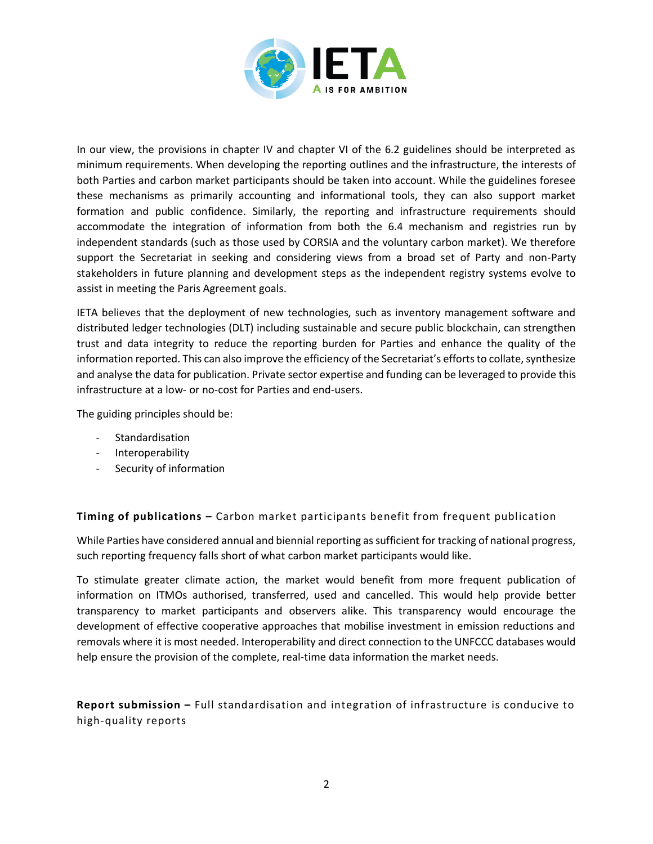

In our view, the provisions in chapter IV and chapter VI of the 6.2 guidelines should be interpreted as minimum requirements. When developing the reporting outlines and the infrastructure, the interests of both Parties and carbon market participants should be taken into account. While the guidelines foresee these mechanisms as primarily accounting and informational tools, they can also support market formation and public confidence. Similarly, the reporting and infrastructure requirements should accommodate the integration of information from both the 6.4 mechanism and registries run by independent standards (such as those used by CORSIA and the voluntary carbon market). We therefore support the Secretariat in seeking and considering views from a broad set of Party and non-Party stakeholders in future planning and development steps as the independent registry systems evolve to assist in meeting the Paris Agreement goals.

IETA believes that the deployment of new technologies, such as inventory management software and distributed ledger technologies (DLT) including sustainable and secure public blockchain, can strengthen trust and data integrity to reduce the reporting burden for Parties and enhance the quality of the information reported. This can also improve the efficiency of the Secretariat's efforts to collate, synthesize and analyse the data for publication. Private sector expertise and funding can be leveraged to provide this infrastructure at a low- or no-cost for Parties and end-users.

The guiding principles should be:

- Standardisation
- Interoperability
- Security of information

**Timing of publications –** Carbon market participants benefit from frequent publication

While Parties have considered annual and biennial reporting as sufficient for tracking of national progress, such reporting frequency falls short of what carbon market participants would like.

To stimulate greater climate action, the market would benefit from more frequent publication of information on ITMOs authorised, transferred, used and cancelled. This would help provide better transparency to market participants and observers alike. This transparency would encourage the development of effective cooperative approaches that mobilise investment in emission reductions and removals where it is most needed. Interoperability and direct connection to the UNFCCC databases would help ensure the provision of the complete, real-time data information the market needs.

**Report submission –** Full standardisation and integration of infrastructure is conducive to high-quality reports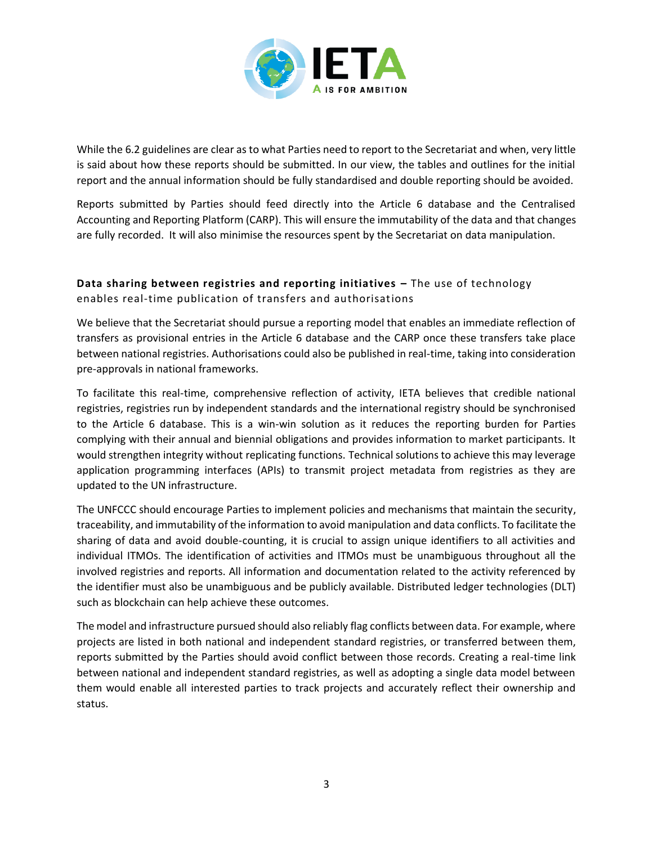

While the 6.2 guidelines are clear as to what Parties need to report to the Secretariat and when, very little is said about how these reports should be submitted. In our view, the tables and outlines for the initial report and the annual information should be fully standardised and double reporting should be avoided.

Reports submitted by Parties should feed directly into the Article 6 database and the Centralised Accounting and Reporting Platform (CARP). This will ensure the immutability of the data and that changes are fully recorded. It will also minimise the resources spent by the Secretariat on data manipulation.

**Data sharing between registries and reporting initiatives –** The use of technology enables real-time publication of transfers and authorisations

We believe that the Secretariat should pursue a reporting model that enables an immediate reflection of transfers as provisional entries in the Article 6 database and the CARP once these transfers take place between national registries. Authorisations could also be published in real-time, taking into consideration pre-approvals in national frameworks.

To facilitate this real-time, comprehensive reflection of activity, IETA believes that credible national registries, registries run by independent standards and the international registry should be synchronised to the Article 6 database. This is a win-win solution as it reduces the reporting burden for Parties complying with their annual and biennial obligations and provides information to market participants. It would strengthen integrity without replicating functions. Technical solutions to achieve this may leverage application programming interfaces (APIs) to transmit project metadata from registries as they are updated to the UN infrastructure.

The UNFCCC should encourage Parties to implement policies and mechanisms that maintain the security, traceability, and immutability of the information to avoid manipulation and data conflicts. To facilitate the sharing of data and avoid double-counting, it is crucial to assign unique identifiers to all activities and individual ITMOs. The identification of activities and ITMOs must be unambiguous throughout all the involved registries and reports. All information and documentation related to the activity referenced by the identifier must also be unambiguous and be publicly available. Distributed ledger technologies (DLT) such as blockchain can help achieve these outcomes.

The model and infrastructure pursued should also reliably flag conflicts between data. For example, where projects are listed in both national and independent standard registries, or transferred between them, reports submitted by the Parties should avoid conflict between those records. Creating a real-time link between national and independent standard registries, as well as adopting a single data model between them would enable all interested parties to track projects and accurately reflect their ownership and status.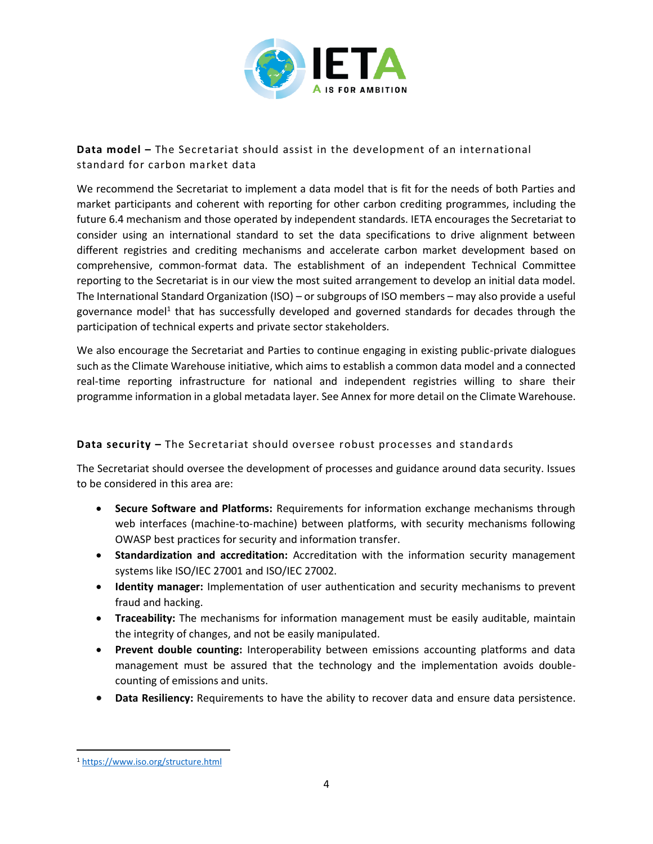

# **Data model –** The Secretariat should assist in the development of an international standard for carbon market data

We recommend the Secretariat to implement a data model that is fit for the needs of both Parties and market participants and coherent with reporting for other carbon crediting programmes, including the future 6.4 mechanism and those operated by independent standards. IETA encourages the Secretariat to consider using an international standard to set the data specifications to drive alignment between different registries and crediting mechanisms and accelerate carbon market development based on comprehensive, common-format data. The establishment of an independent Technical Committee reporting to the Secretariat is in our view the most suited arrangement to develop an initial data model. The International Standard Organization (ISO) – or subgroups of ISO members – may also provide a useful governance model<sup>1</sup> that has successfully developed and governed standards for decades through the participation of technical experts and private sector stakeholders.

We also encourage the Secretariat and Parties to continue engaging in existing public-private dialogues such as the Climate Warehouse initiative, which aims to establish a common data model and a connected real-time reporting infrastructure for national and independent registries willing to share their programme information in a global metadata layer. See Annex for more detail on the Climate Warehouse.

### **Data security –** The Secretariat should oversee robust processes and standards

The Secretariat should oversee the development of processes and guidance around data security. Issues to be considered in this area are:

- **Secure Software and Platforms:** Requirements for information exchange mechanisms through web interfaces (machine-to-machine) between platforms, with security mechanisms following OWASP best practices for security and information transfer.
- **Standardization and accreditation:** Accreditation with the information security management systems like ISO/IEC 27001 and ISO/IEC 27002.
- **Identity manager:** Implementation of user authentication and security mechanisms to prevent fraud and hacking.
- **Traceability:** The mechanisms for information management must be easily auditable, maintain the integrity of changes, and not be easily manipulated.
- **Prevent double counting:** Interoperability between emissions accounting platforms and data management must be assured that the technology and the implementation avoids doublecounting of emissions and units.
- **Data Resiliency:** Requirements to have the ability to recover data and ensure data persistence.

<sup>1</sup> https://www.iso.org/structure.html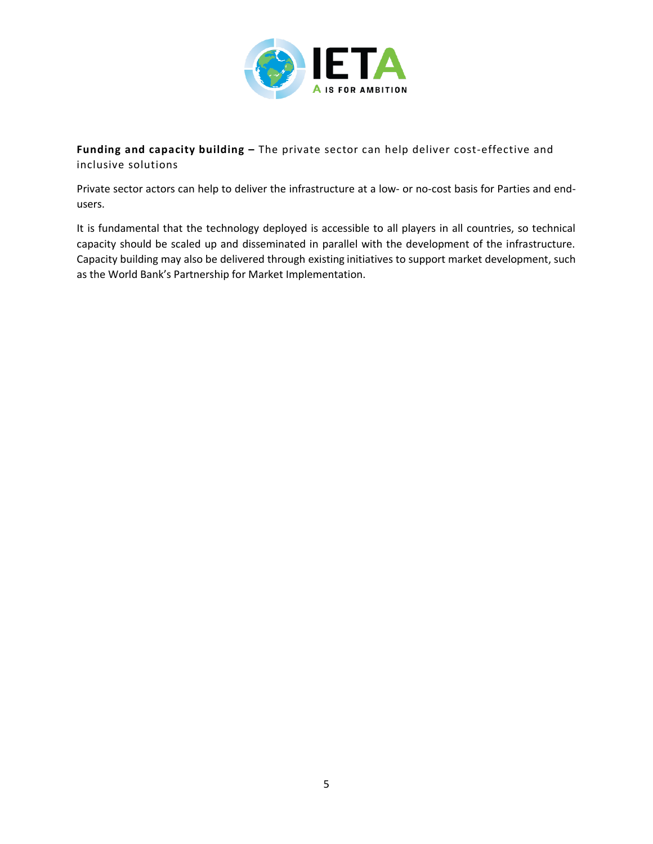

**Funding and capacity building –** The private sector can help deliver cost-effective and inclusive solutions

Private sector actors can help to deliver the infrastructure at a low- or no-cost basis for Parties and endusers.

It is fundamental that the technology deployed is accessible to all players in all countries, so technical capacity should be scaled up and disseminated in parallel with the development of the infrastructure. Capacity building may also be delivered through existing initiatives to support market development, such as the World Bank's Partnership for Market Implementation.